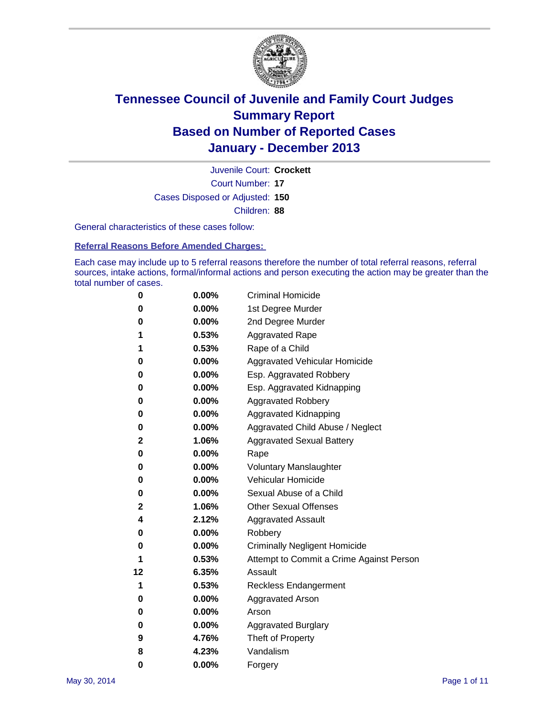

Court Number: **17** Juvenile Court: **Crockett** Cases Disposed or Adjusted: **150** Children: **88**

General characteristics of these cases follow:

**Referral Reasons Before Amended Charges:** 

Each case may include up to 5 referral reasons therefore the number of total referral reasons, referral sources, intake actions, formal/informal actions and person executing the action may be greater than the total number of cases.

| 0  | 0.00%    | <b>Criminal Homicide</b>                 |
|----|----------|------------------------------------------|
| 0  | 0.00%    | 1st Degree Murder                        |
| 0  | 0.00%    | 2nd Degree Murder                        |
| 1  | 0.53%    | <b>Aggravated Rape</b>                   |
| 1  | 0.53%    | Rape of a Child                          |
| 0  | 0.00%    | <b>Aggravated Vehicular Homicide</b>     |
| 0  | 0.00%    | Esp. Aggravated Robbery                  |
| 0  | 0.00%    | Esp. Aggravated Kidnapping               |
| 0  | 0.00%    | <b>Aggravated Robbery</b>                |
| 0  | 0.00%    | Aggravated Kidnapping                    |
| 0  | 0.00%    | Aggravated Child Abuse / Neglect         |
| 2  | 1.06%    | <b>Aggravated Sexual Battery</b>         |
| 0  | 0.00%    | Rape                                     |
| 0  | 0.00%    | <b>Voluntary Manslaughter</b>            |
| 0  | 0.00%    | Vehicular Homicide                       |
| 0  | $0.00\%$ | Sexual Abuse of a Child                  |
| 2  | 1.06%    | <b>Other Sexual Offenses</b>             |
| 4  | 2.12%    | <b>Aggravated Assault</b>                |
| 0  | 0.00%    | Robbery                                  |
| 0  | 0.00%    | <b>Criminally Negligent Homicide</b>     |
| 1  | 0.53%    | Attempt to Commit a Crime Against Person |
| 12 | 6.35%    | Assault                                  |
| 1  | 0.53%    | <b>Reckless Endangerment</b>             |
| 0  | 0.00%    | <b>Aggravated Arson</b>                  |
| 0  | $0.00\%$ | Arson                                    |
| 0  | 0.00%    | <b>Aggravated Burglary</b>               |
| 9  | 4.76%    | Theft of Property                        |
| 8  | 4.23%    | Vandalism                                |
| 0  | 0.00%    | Forgery                                  |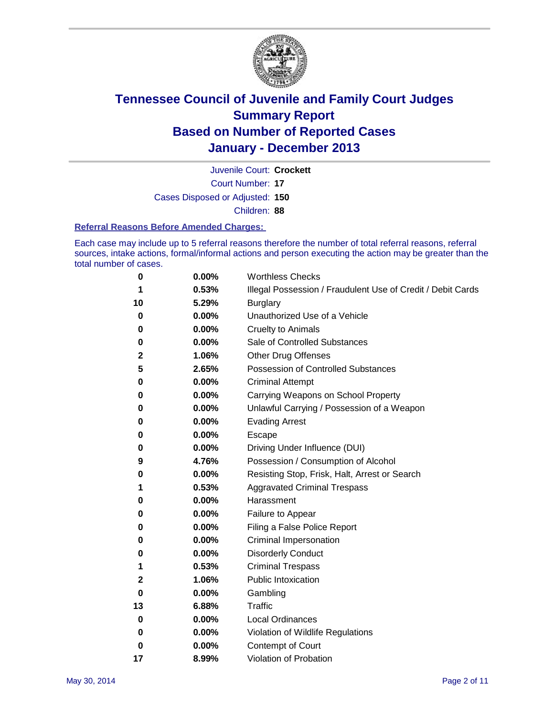

Court Number: **17** Juvenile Court: **Crockett** Cases Disposed or Adjusted: **150** Children: **88**

#### **Referral Reasons Before Amended Charges:**

Each case may include up to 5 referral reasons therefore the number of total referral reasons, referral sources, intake actions, formal/informal actions and person executing the action may be greater than the total number of cases.

| 0  | 0.00% | <b>Worthless Checks</b>                                     |
|----|-------|-------------------------------------------------------------|
| 1  | 0.53% | Illegal Possession / Fraudulent Use of Credit / Debit Cards |
| 10 | 5.29% | <b>Burglary</b>                                             |
| 0  | 0.00% | Unauthorized Use of a Vehicle                               |
| 0  | 0.00% | <b>Cruelty to Animals</b>                                   |
| 0  | 0.00% | Sale of Controlled Substances                               |
| 2  | 1.06% | Other Drug Offenses                                         |
| 5  | 2.65% | Possession of Controlled Substances                         |
| 0  | 0.00% | <b>Criminal Attempt</b>                                     |
| 0  | 0.00% | Carrying Weapons on School Property                         |
| 0  | 0.00% | Unlawful Carrying / Possession of a Weapon                  |
| 0  | 0.00% | <b>Evading Arrest</b>                                       |
| 0  | 0.00% | Escape                                                      |
| 0  | 0.00% | Driving Under Influence (DUI)                               |
| 9  | 4.76% | Possession / Consumption of Alcohol                         |
| 0  | 0.00% | Resisting Stop, Frisk, Halt, Arrest or Search               |
| 1  | 0.53% | <b>Aggravated Criminal Trespass</b>                         |
| 0  | 0.00% | Harassment                                                  |
| 0  | 0.00% | Failure to Appear                                           |
| 0  | 0.00% | Filing a False Police Report                                |
| 0  | 0.00% | Criminal Impersonation                                      |
| 0  | 0.00% | <b>Disorderly Conduct</b>                                   |
| 1  | 0.53% | <b>Criminal Trespass</b>                                    |
| 2  | 1.06% | <b>Public Intoxication</b>                                  |
| 0  | 0.00% | Gambling                                                    |
| 13 | 6.88% | Traffic                                                     |
| 0  | 0.00% | Local Ordinances                                            |
| 0  | 0.00% | Violation of Wildlife Regulations                           |
| 0  | 0.00% | Contempt of Court                                           |
| 17 | 8.99% | Violation of Probation                                      |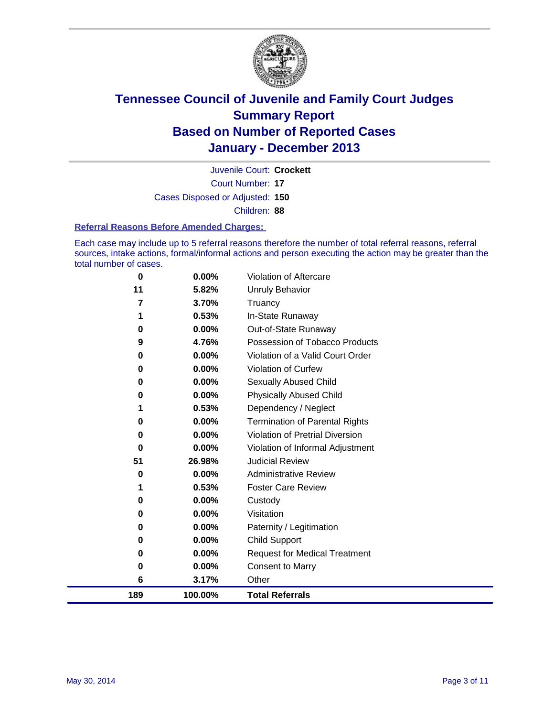

Court Number: **17** Juvenile Court: **Crockett** Cases Disposed or Adjusted: **150** Children: **88**

#### **Referral Reasons Before Amended Charges:**

Each case may include up to 5 referral reasons therefore the number of total referral reasons, referral sources, intake actions, formal/informal actions and person executing the action may be greater than the total number of cases.

| 0        | 0.00%  | <b>Violation of Pretrial Diversion</b> |
|----------|--------|----------------------------------------|
| 0        | 0.00%  | Violation of Informal Adjustment       |
| 51       | 26.98% | <b>Judicial Review</b>                 |
| 0        | 0.00%  | <b>Administrative Review</b>           |
| 1        | 0.53%  | <b>Foster Care Review</b>              |
| $\bf{0}$ | 0.00%  | Custody                                |
| 0        | 0.00%  | Visitation                             |
| 0        | 0.00%  | Paternity / Legitimation               |
| 0        | 0.00%  | <b>Child Support</b>                   |
| 0        | 0.00%  | <b>Request for Medical Treatment</b>   |
| 0        | 0.00%  |                                        |
|          |        | <b>Consent to Marry</b>                |
|          |        |                                        |
| 6        | 3.17%  | Other                                  |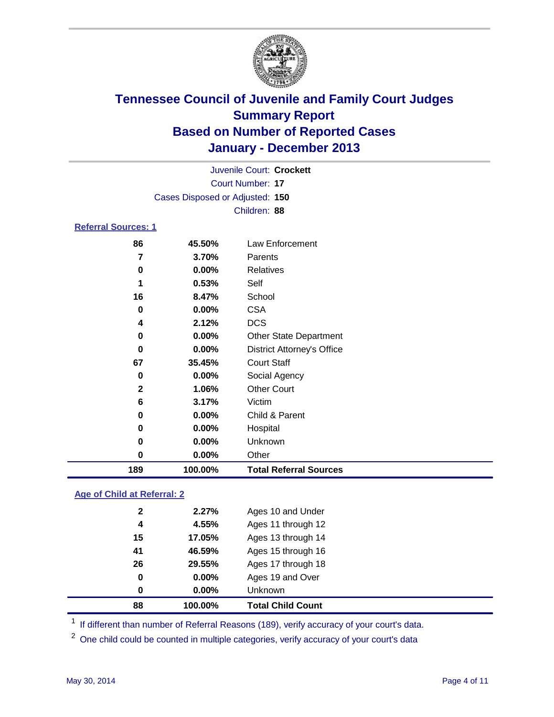

|                            | Juvenile Court: Crockett        |                      |                  |  |  |  |  |  |  |
|----------------------------|---------------------------------|----------------------|------------------|--|--|--|--|--|--|
|                            | Court Number: 17                |                      |                  |  |  |  |  |  |  |
|                            | Cases Disposed or Adjusted: 150 |                      |                  |  |  |  |  |  |  |
|                            |                                 |                      | Children: 88     |  |  |  |  |  |  |
| <b>Referral Sources: 1</b> |                                 |                      |                  |  |  |  |  |  |  |
|                            | 86                              | 45.50%               | Law Enforcement  |  |  |  |  |  |  |
|                            | 7<br>3.70%<br>Parents           |                      |                  |  |  |  |  |  |  |
|                            | 0                               | $0.00\%$             | <b>Relatives</b> |  |  |  |  |  |  |
|                            | -                               | $\sim$ $\sim$ $\sim$ | $\sim$ $\cdot$   |  |  |  |  |  |  |

| 189          | 100.00%  | <b>Total Referral Sources</b>     |
|--------------|----------|-----------------------------------|
| 0            | 0.00%    | Other                             |
| 0            | 0.00%    | Unknown                           |
| $\bf{0}$     | 0.00%    | Hospital                          |
| 0            | 0.00%    | Child & Parent                    |
| 6            | 3.17%    | Victim                            |
| $\mathbf{2}$ | 1.06%    | <b>Other Court</b>                |
| 0            | $0.00\%$ | Social Agency                     |
| 67           | 35.45%   | <b>Court Staff</b>                |
| 0            | 0.00%    | <b>District Attorney's Office</b> |
| 0            | 0.00%    | <b>Other State Department</b>     |
| 4            | 2.12%    | <b>DCS</b>                        |
| 0            | 0.00%    | <b>CSA</b>                        |
| 16           | 8.47%    | School                            |
| 1            | 0.53%    | Self                              |
| 0            | 0.00%    | Relatives                         |
|              | 3.70%    | Parents                           |

### **Age of Child at Referral: 2**

| 88           | 100.00% | <b>Total Child Count</b> |
|--------------|---------|--------------------------|
| 0            | 0.00%   | <b>Unknown</b>           |
| 0            | 0.00%   | Ages 19 and Over         |
| 26           | 29.55%  | Ages 17 through 18       |
| 41           | 46.59%  | Ages 15 through 16       |
| 15           | 17.05%  | Ages 13 through 14       |
| 4            | 4.55%   | Ages 11 through 12       |
| $\mathbf{2}$ | 2.27%   | Ages 10 and Under        |
|              |         |                          |

<sup>1</sup> If different than number of Referral Reasons (189), verify accuracy of your court's data.

<sup>2</sup> One child could be counted in multiple categories, verify accuracy of your court's data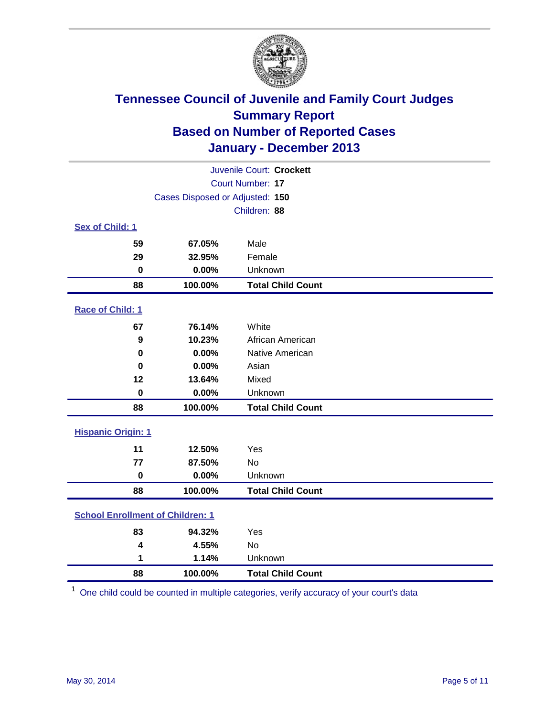

|                                         | Juvenile Court: Crockett        |                          |  |  |
|-----------------------------------------|---------------------------------|--------------------------|--|--|
| Court Number: 17                        |                                 |                          |  |  |
|                                         | Cases Disposed or Adjusted: 150 |                          |  |  |
|                                         |                                 | Children: 88             |  |  |
| Sex of Child: 1                         |                                 |                          |  |  |
| 59                                      | 67.05%                          | Male                     |  |  |
| 29                                      | 32.95%                          | Female                   |  |  |
| $\mathbf 0$                             | 0.00%                           | Unknown                  |  |  |
| 88                                      | 100.00%                         | <b>Total Child Count</b> |  |  |
| Race of Child: 1                        |                                 |                          |  |  |
| 67                                      | 76.14%                          | White                    |  |  |
| 9                                       | 10.23%                          | African American         |  |  |
| $\bf{0}$                                | 0.00%                           | Native American          |  |  |
| 0                                       | 0.00%                           | Asian                    |  |  |
| 12                                      | 13.64%                          | Mixed                    |  |  |
| $\bf{0}$                                | 0.00%                           | Unknown                  |  |  |
| 88                                      | 100.00%                         | <b>Total Child Count</b> |  |  |
| <b>Hispanic Origin: 1</b>               |                                 |                          |  |  |
| 11                                      | 12.50%                          | Yes                      |  |  |
| 77                                      | 87.50%                          | <b>No</b>                |  |  |
| $\bf{0}$                                | 0.00%                           | Unknown                  |  |  |
| 88                                      | 100.00%                         | <b>Total Child Count</b> |  |  |
| <b>School Enrollment of Children: 1</b> |                                 |                          |  |  |
| 83                                      | 94.32%                          | Yes                      |  |  |
| 4                                       | 4.55%                           | <b>No</b>                |  |  |
| 1                                       | 1.14%                           | Unknown                  |  |  |
| 88                                      | 100.00%                         | <b>Total Child Count</b> |  |  |

One child could be counted in multiple categories, verify accuracy of your court's data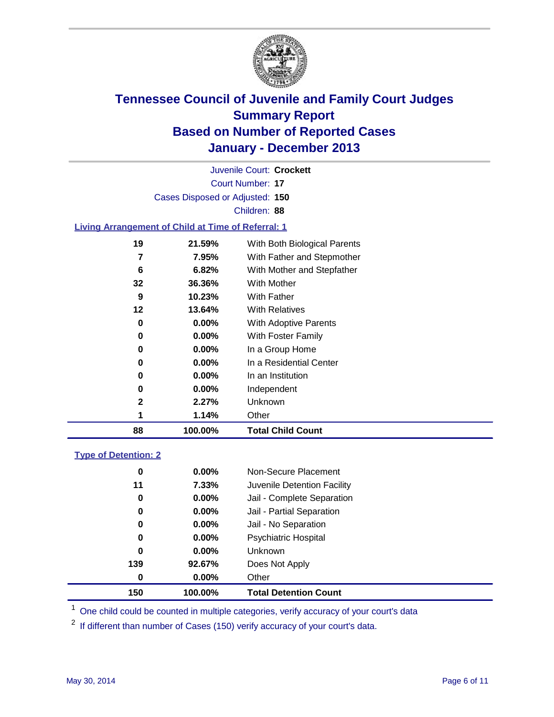

Court Number: **17** Juvenile Court: **Crockett** Cases Disposed or Adjusted: **150** Children: **88**

#### **Living Arrangement of Child at Time of Referral: 1**

| 88           | 100.00%  | <b>Total Child Count</b>     |  |
|--------------|----------|------------------------------|--|
| 1            | 1.14%    | Other                        |  |
| $\mathbf{2}$ | 2.27%    | Unknown                      |  |
| 0            | $0.00\%$ | Independent                  |  |
| 0            | $0.00\%$ | In an Institution            |  |
| 0            | $0.00\%$ | In a Residential Center      |  |
| 0            | $0.00\%$ | In a Group Home              |  |
| 0            | $0.00\%$ | With Foster Family           |  |
| 0            | 0.00%    | <b>With Adoptive Parents</b> |  |
| 12           | 13.64%   | <b>With Relatives</b>        |  |
| 9            | 10.23%   | With Father                  |  |
| 32           | 36.36%   | <b>With Mother</b>           |  |
| 6            | 6.82%    | With Mother and Stepfather   |  |
| 7            | 7.95%    | With Father and Stepmother   |  |
| 19           | 21.59%   | With Both Biological Parents |  |
|              |          |                              |  |

#### **Type of Detention: 2**

| 150         | 100.00%  | <b>Total Detention Count</b> |  |
|-------------|----------|------------------------------|--|
| 0           | 0.00%    | Other                        |  |
| 139         | 92.67%   | Does Not Apply               |  |
| $\mathbf 0$ | 0.00%    | <b>Unknown</b>               |  |
| 0           | $0.00\%$ | <b>Psychiatric Hospital</b>  |  |
| 0           | 0.00%    | Jail - No Separation         |  |
| 0           | $0.00\%$ | Jail - Partial Separation    |  |
| 0           | 0.00%    | Jail - Complete Separation   |  |
| 11          | 7.33%    | Juvenile Detention Facility  |  |
| 0           | 0.00%    | Non-Secure Placement         |  |
|             |          |                              |  |

<sup>1</sup> One child could be counted in multiple categories, verify accuracy of your court's data

If different than number of Cases (150) verify accuracy of your court's data.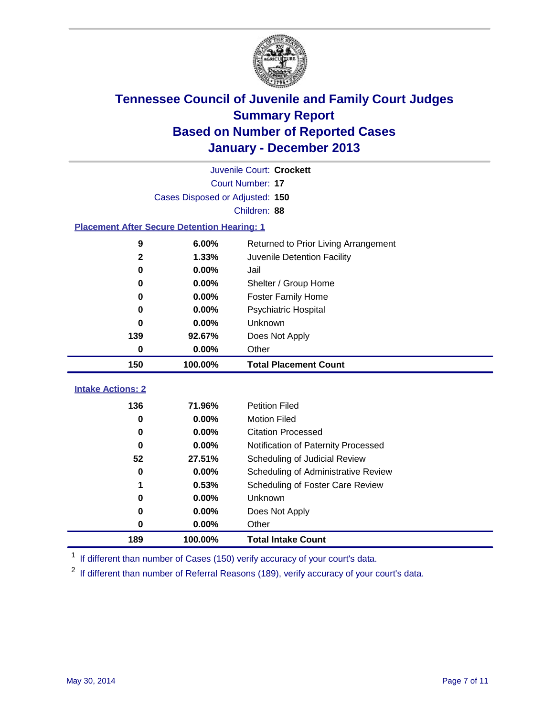

| Juvenile Court: Crockett                           |                                 |                                      |  |  |  |
|----------------------------------------------------|---------------------------------|--------------------------------------|--|--|--|
|                                                    | Court Number: 17                |                                      |  |  |  |
|                                                    | Cases Disposed or Adjusted: 150 |                                      |  |  |  |
|                                                    |                                 | Children: 88                         |  |  |  |
| <b>Placement After Secure Detention Hearing: 1</b> |                                 |                                      |  |  |  |
| 9                                                  | 6.00%                           | Returned to Prior Living Arrangement |  |  |  |
| $\mathbf 2$                                        | 1.33%                           | Juvenile Detention Facility          |  |  |  |
| 0                                                  | 0.00%                           | Jail                                 |  |  |  |
| 0                                                  | 0.00%                           | Shelter / Group Home                 |  |  |  |
| 0                                                  | 0.00%                           | <b>Foster Family Home</b>            |  |  |  |
| 0                                                  | 0.00%                           | <b>Psychiatric Hospital</b>          |  |  |  |
| 0                                                  | 0.00%                           | Unknown                              |  |  |  |
| 139                                                | 92.67%                          | Does Not Apply                       |  |  |  |
| 0                                                  | 0.00%                           | Other                                |  |  |  |
| 150                                                | 100.00%                         | <b>Total Placement Count</b>         |  |  |  |
|                                                    |                                 |                                      |  |  |  |
| <b>Intake Actions: 2</b>                           |                                 |                                      |  |  |  |
| 136                                                | 71.96%                          | <b>Petition Filed</b>                |  |  |  |
| 0                                                  | 0.00%                           | <b>Motion Filed</b>                  |  |  |  |
| 0                                                  | 0.00%                           | <b>Citation Processed</b>            |  |  |  |
| $\bf{0}$                                           | 0.00%                           | Notification of Paternity Processed  |  |  |  |
| 52                                                 | 27.51%                          | Scheduling of Judicial Review        |  |  |  |
| 0                                                  | 0.00%                           | Scheduling of Administrative Review  |  |  |  |
| 1                                                  | 0.53%                           | Scheduling of Foster Care Review     |  |  |  |
| 0                                                  | 0.00%                           | Unknown                              |  |  |  |
| 0                                                  | 0.00%                           | Does Not Apply                       |  |  |  |
| 0                                                  | 0.00%                           | Other                                |  |  |  |
| 189                                                | 100.00%                         | <b>Total Intake Count</b>            |  |  |  |

<sup>1</sup> If different than number of Cases (150) verify accuracy of your court's data.

<sup>2</sup> If different than number of Referral Reasons (189), verify accuracy of your court's data.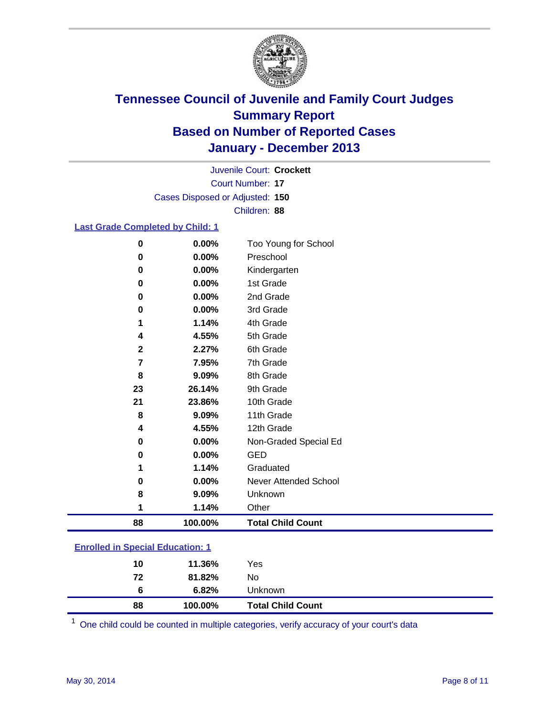

Court Number: **17** Juvenile Court: **Crockett** Cases Disposed or Adjusted: **150** Children: **88**

#### **Last Grade Completed by Child: 1**

| 88          | 100.00% | <b>Total Child Count</b>     |
|-------------|---------|------------------------------|
| 1           | 1.14%   | Other                        |
| 8           | 9.09%   | Unknown                      |
| 0           | 0.00%   | <b>Never Attended School</b> |
|             | 1.14%   | Graduated                    |
| 0           | 0.00%   | <b>GED</b>                   |
| 0           | 0.00%   | Non-Graded Special Ed        |
| 4           | 4.55%   | 12th Grade                   |
| 8           | 9.09%   | 11th Grade                   |
| 21          | 23.86%  | 10th Grade                   |
| 23          | 26.14%  | 9th Grade                    |
| 8           | 9.09%   | 8th Grade                    |
| 7           | 7.95%   | 7th Grade                    |
| $\mathbf 2$ | 2.27%   | 6th Grade                    |
| 4           | 4.55%   | 5th Grade                    |
| 1           | 1.14%   | 4th Grade                    |
| 0           | 0.00%   | 3rd Grade                    |
| 0           | 0.00%   | 2nd Grade                    |
| 0           | 0.00%   | 1st Grade                    |
| $\bf{0}$    | 0.00%   | Kindergarten                 |
| 0           | 0.00%   | Preschool                    |
| 0           | 0.00%   | Too Young for School         |

|                                         | 88 | 100.00% | <b>Total Child Count</b> |  |  |  |  |
|-----------------------------------------|----|---------|--------------------------|--|--|--|--|
|                                         | 6  | 6.82%   | Unknown                  |  |  |  |  |
|                                         | 72 | 81.82%  | No.                      |  |  |  |  |
|                                         | 10 | 11.36%  | Yes                      |  |  |  |  |
| <b>Enrolled in Special Education: 1</b> |    |         |                          |  |  |  |  |

<sup>1</sup> One child could be counted in multiple categories, verify accuracy of your court's data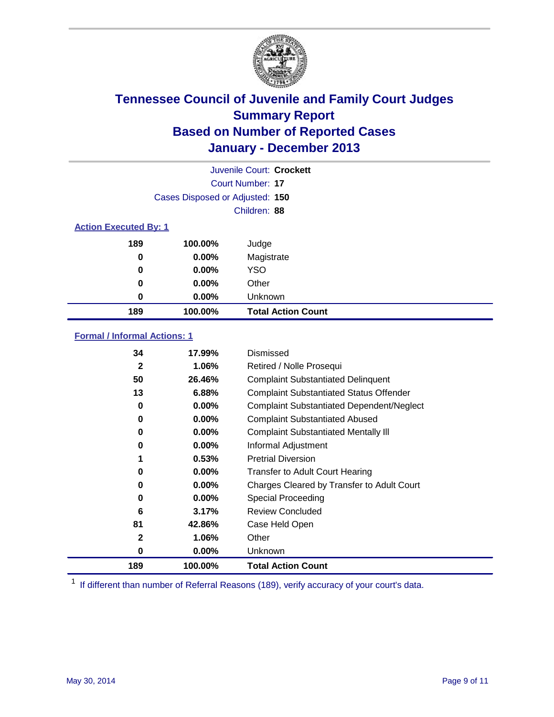

|                              |                                 | Juvenile Court: Crockett  |
|------------------------------|---------------------------------|---------------------------|
|                              |                                 | Court Number: 17          |
|                              | Cases Disposed or Adjusted: 150 |                           |
|                              |                                 | Children: 88              |
| <b>Action Executed By: 1</b> |                                 |                           |
| 189                          | 100.00%                         | Judge                     |
| 0                            | $0.00\%$                        | Magistrate                |
| $\bf{0}$                     | $0.00\%$                        | <b>YSO</b>                |
| 0                            | $0.00\%$                        | Other                     |
| 0                            | $0.00\%$                        | Unknown                   |
| 189                          | 100.00%                         | <b>Total Action Count</b> |

### **Formal / Informal Actions: 1**

| 34           | 17.99%   | Dismissed                                        |
|--------------|----------|--------------------------------------------------|
| $\mathbf{2}$ | 1.06%    | Retired / Nolle Prosequi                         |
| 50           | 26.46%   | <b>Complaint Substantiated Delinquent</b>        |
| 13           | 6.88%    | <b>Complaint Substantiated Status Offender</b>   |
| 0            | 0.00%    | <b>Complaint Substantiated Dependent/Neglect</b> |
| 0            | $0.00\%$ | <b>Complaint Substantiated Abused</b>            |
| 0            | $0.00\%$ | <b>Complaint Substantiated Mentally III</b>      |
| 0            | $0.00\%$ | Informal Adjustment                              |
|              | 0.53%    | <b>Pretrial Diversion</b>                        |
| 0            | 0.00%    | <b>Transfer to Adult Court Hearing</b>           |
| 0            | $0.00\%$ | Charges Cleared by Transfer to Adult Court       |
| 0            | $0.00\%$ | Special Proceeding                               |
| 6            | 3.17%    | <b>Review Concluded</b>                          |
| 81           | 42.86%   | Case Held Open                                   |
| 2            | 1.06%    | Other                                            |
| 0            | $0.00\%$ | <b>Unknown</b>                                   |
| 189          | 100.00%  | <b>Total Action Count</b>                        |

<sup>1</sup> If different than number of Referral Reasons (189), verify accuracy of your court's data.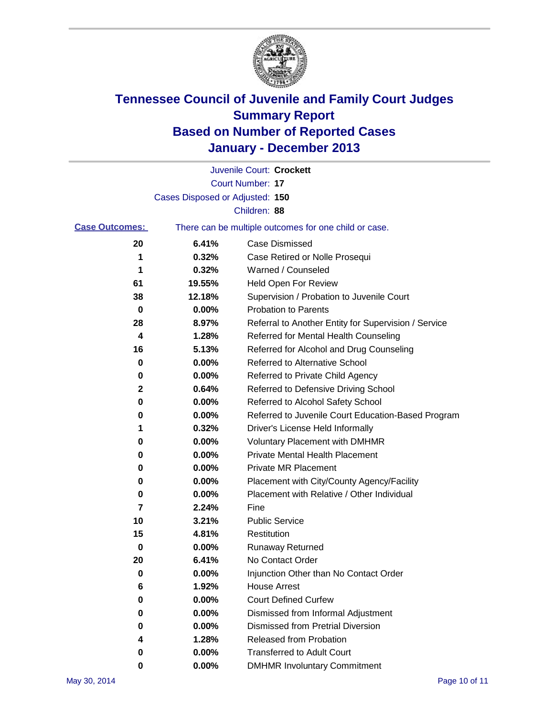

|                       |                                 | Juvenile Court: Crockett                              |
|-----------------------|---------------------------------|-------------------------------------------------------|
|                       |                                 | Court Number: 17                                      |
|                       | Cases Disposed or Adjusted: 150 |                                                       |
|                       |                                 | Children: 88                                          |
| <b>Case Outcomes:</b> |                                 | There can be multiple outcomes for one child or case. |
| 20                    | 6.41%                           | <b>Case Dismissed</b>                                 |
| 1                     | 0.32%                           | Case Retired or Nolle Prosequi                        |
| 1                     | 0.32%                           | Warned / Counseled                                    |
| 61                    | 19.55%                          | Held Open For Review                                  |
| 38                    | 12.18%                          | Supervision / Probation to Juvenile Court             |
| 0                     | 0.00%                           | <b>Probation to Parents</b>                           |
| 28                    | 8.97%                           | Referral to Another Entity for Supervision / Service  |
| 4                     | 1.28%                           | Referred for Mental Health Counseling                 |
| 16                    | 5.13%                           | Referred for Alcohol and Drug Counseling              |
| 0                     | 0.00%                           | Referred to Alternative School                        |
| 0                     | 0.00%                           | Referred to Private Child Agency                      |
| 2                     | 0.64%                           | Referred to Defensive Driving School                  |
| 0                     | 0.00%                           | Referred to Alcohol Safety School                     |
| 0                     | 0.00%                           | Referred to Juvenile Court Education-Based Program    |
| 1                     | 0.32%                           | Driver's License Held Informally                      |
| 0                     | 0.00%                           | <b>Voluntary Placement with DMHMR</b>                 |
| 0                     | 0.00%                           | <b>Private Mental Health Placement</b>                |
| 0                     | 0.00%                           | <b>Private MR Placement</b>                           |
| 0                     | 0.00%                           | Placement with City/County Agency/Facility            |
| 0                     | 0.00%                           | Placement with Relative / Other Individual            |
| 7                     | 2.24%                           | Fine                                                  |
| 10                    | 3.21%                           | <b>Public Service</b>                                 |
| 15                    | 4.81%                           | Restitution                                           |
| 0                     | 0.00%                           | <b>Runaway Returned</b>                               |
| 20                    | 6.41%                           | No Contact Order                                      |
| o                     | 0.00%                           | Injunction Other than No Contact Order                |
| 6                     | 1.92%                           | <b>House Arrest</b>                                   |
| 0                     | 0.00%                           | <b>Court Defined Curfew</b>                           |
| 0                     | 0.00%                           | Dismissed from Informal Adjustment                    |
| 0                     | 0.00%                           | <b>Dismissed from Pretrial Diversion</b>              |
| 4                     | 1.28%                           | Released from Probation                               |
| 0                     | 0.00%                           | <b>Transferred to Adult Court</b>                     |
| 0                     | 0.00%                           | <b>DMHMR Involuntary Commitment</b>                   |